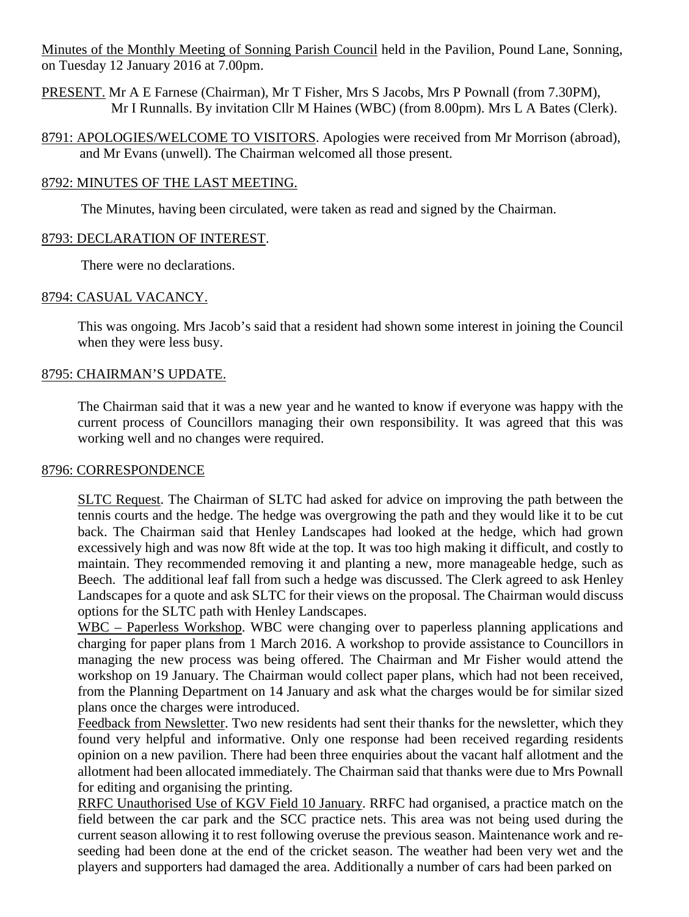Minutes of the Monthly Meeting of Sonning Parish Council held in the Pavilion, Pound Lane, Sonning, on Tuesday 12 January 2016 at 7.00pm.

PRESENT. Mr A E Farnese (Chairman), Mr T Fisher, Mrs S Jacobs, Mrs P Pownall (from 7.30PM), Mr I Runnalls. By invitation Cllr M Haines (WBC) (from 8.00pm). Mrs L A Bates (Clerk).

8791: APOLOGIES/WELCOME TO VISITORS. Apologies were received from Mr Morrison (abroad), and Mr Evans (unwell). The Chairman welcomed all those present.

## 8792: MINUTES OF THE LAST MEETING.

The Minutes, having been circulated, were taken as read and signed by the Chairman.

## 8793: DECLARATION OF INTEREST.

There were no declarations.

## 8794: CASUAL VACANCY.

This was ongoing. Mrs Jacob's said that a resident had shown some interest in joining the Council when they were less busy.

## 8795: CHAIRMAN'S UPDATE.

The Chairman said that it was a new year and he wanted to know if everyone was happy with the current process of Councillors managing their own responsibility. It was agreed that this was working well and no changes were required.

### 8796: CORRESPONDENCE

SLTC Request. The Chairman of SLTC had asked for advice on improving the path between the tennis courts and the hedge. The hedge was overgrowing the path and they would like it to be cut back. The Chairman said that Henley Landscapes had looked at the hedge, which had grown excessively high and was now 8ft wide at the top. It was too high making it difficult, and costly to maintain. They recommended removing it and planting a new, more manageable hedge, such as Beech. The additional leaf fall from such a hedge was discussed. The Clerk agreed to ask Henley Landscapes for a quote and ask SLTC for their views on the proposal. The Chairman would discuss options for the SLTC path with Henley Landscapes.

WBC – Paperless Workshop. WBC were changing over to paperless planning applications and charging for paper plans from 1 March 2016. A workshop to provide assistance to Councillors in managing the new process was being offered. The Chairman and Mr Fisher would attend the workshop on 19 January. The Chairman would collect paper plans, which had not been received, from the Planning Department on 14 January and ask what the charges would be for similar sized plans once the charges were introduced.

Feedback from Newsletter. Two new residents had sent their thanks for the newsletter, which they found very helpful and informative. Only one response had been received regarding residents opinion on a new pavilion. There had been three enquiries about the vacant half allotment and the allotment had been allocated immediately. The Chairman said that thanks were due to Mrs Pownall for editing and organising the printing.

RRFC Unauthorised Use of KGV Field 10 January. RRFC had organised, a practice match on the field between the car park and the SCC practice nets. This area was not being used during the current season allowing it to rest following overuse the previous season. Maintenance work and reseeding had been done at the end of the cricket season. The weather had been very wet and the players and supporters had damaged the area. Additionally a number of cars had been parked on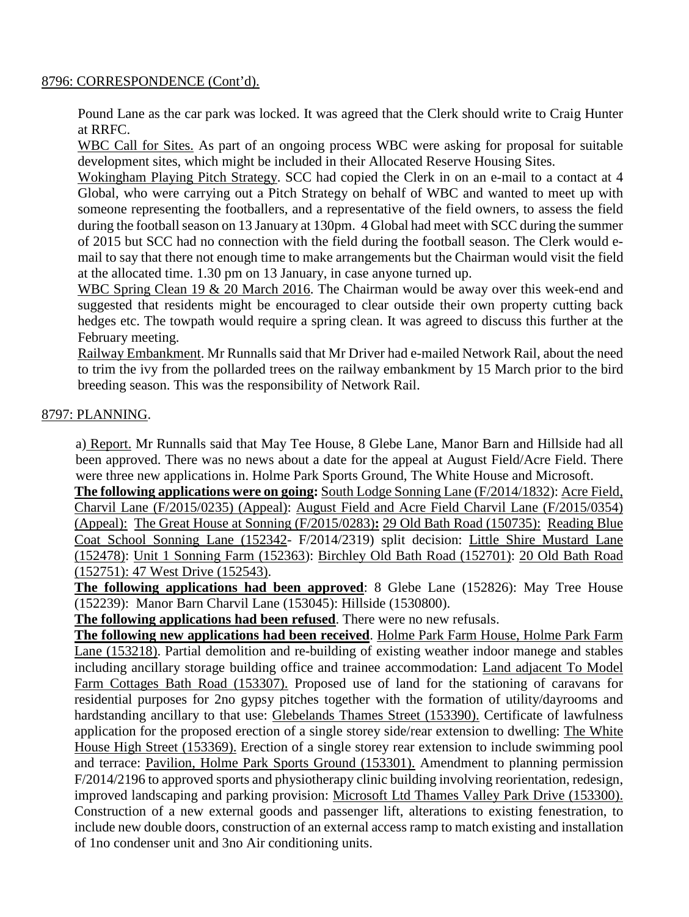### 8796: CORRESPONDENCE (Cont'd).

Pound Lane as the car park was locked. It was agreed that the Clerk should write to Craig Hunter at RRFC.

WBC Call for Sites. As part of an ongoing process WBC were asking for proposal for suitable development sites, which might be included in their Allocated Reserve Housing Sites.

Wokingham Playing Pitch Strategy. SCC had copied the Clerk in on an e-mail to a contact at 4 Global, who were carrying out a Pitch Strategy on behalf of WBC and wanted to meet up with someone representing the footballers, and a representative of the field owners, to assess the field during the football season on 13 January at 130pm. 4 Global had meet with SCC during the summer of 2015 but SCC had no connection with the field during the football season. The Clerk would email to say that there not enough time to make arrangements but the Chairman would visit the field at the allocated time. 1.30 pm on 13 January, in case anyone turned up.

WBC Spring Clean 19 & 20 March 2016. The Chairman would be away over this week-end and suggested that residents might be encouraged to clear outside their own property cutting back hedges etc. The towpath would require a spring clean. It was agreed to discuss this further at the February meeting.

Railway Embankment. Mr Runnalls said that Mr Driver had e-mailed Network Rail, about the need to trim the ivy from the pollarded trees on the railway embankment by 15 March prior to the bird breeding season. This was the responsibility of Network Rail.

### 8797: PLANNING.

a) Report. Mr Runnalls said that May Tee House, 8 Glebe Lane, Manor Barn and Hillside had all been approved. There was no news about a date for the appeal at August Field/Acre Field. There were three new applications in. Holme Park Sports Ground, The White House and Microsoft.

**The following applications were on going:** South Lodge Sonning Lane (F/2014/1832): Acre Field, Charvil Lane (F/2015/0235) (Appeal): August Field and Acre Field Charvil Lane (F/2015/0354) (Appeal): The Great House at Sonning (F/2015/0283)**:** 29 Old Bath Road (150735): Reading Blue Coat School Sonning Lane (152342- F/2014/2319) split decision: Little Shire Mustard Lane (152478): Unit 1 Sonning Farm (152363): Birchley Old Bath Road (152701): 20 Old Bath Road (152751): 47 West Drive (152543).

**The following applications had been approved**: 8 Glebe Lane (152826): May Tree House (152239): Manor Barn Charvil Lane (153045): Hillside (1530800).

**The following applications had been refused**. There were no new refusals.

**The following new applications had been received**. Holme Park Farm House, Holme Park Farm Lane (153218). Partial demolition and re-building of existing weather indoor manege and stables including ancillary storage building office and trainee accommodation: Land adjacent To Model Farm Cottages Bath Road (153307). Proposed use of land for the stationing of caravans for residential purposes for 2no gypsy pitches together with the formation of utility/dayrooms and hardstanding ancillary to that use: Glebelands Thames Street (153390). Certificate of lawfulness application for the proposed erection of a single storey side/rear extension to dwelling: The White House High Street (153369). Erection of a single storey rear extension to include swimming pool and terrace: Pavilion, Holme Park Sports Ground (153301). Amendment to planning permission F/2014/2196 to approved sports and physiotherapy clinic building involving reorientation, redesign, improved landscaping and parking provision: Microsoft Ltd Thames Valley Park Drive (153300). Construction of a new external goods and passenger lift, alterations to existing fenestration, to include new double doors, construction of an external access ramp to match existing and installation of 1no condenser unit and 3no Air conditioning units.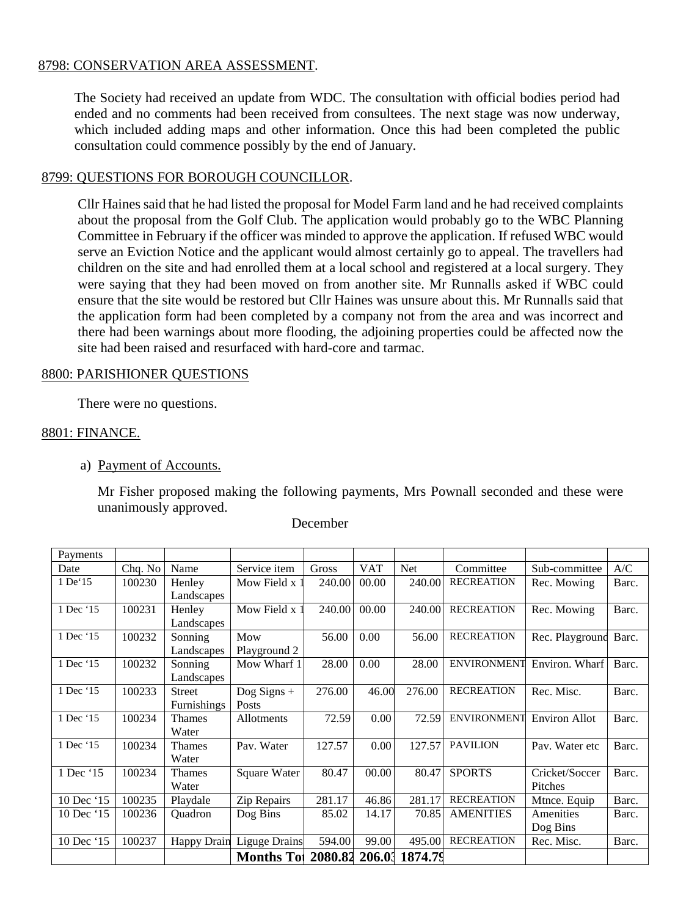## 8798: CONSERVATION AREA ASSESSMENT.

The Society had received an update from WDC. The consultation with official bodies period had ended and no comments had been received from consultees. The next stage was now underway, which included adding maps and other information. Once this had been completed the public consultation could commence possibly by the end of January.

### 8799: QUESTIONS FOR BOROUGH COUNCILLOR.

Cllr Haines said that he had listed the proposal for Model Farm land and he had received complaints about the proposal from the Golf Club. The application would probably go to the WBC Planning Committee in February if the officer was minded to approve the application. If refused WBC would serve an Eviction Notice and the applicant would almost certainly go to appeal. The travellers had children on the site and had enrolled them at a local school and registered at a local surgery. They were saying that they had been moved on from another site. Mr Runnalls asked if WBC could ensure that the site would be restored but Cllr Haines was unsure about this. Mr Runnalls said that the application form had been completed by a company not from the area and was incorrect and there had been warnings about more flooding, the adjoining properties could be affected now the site had been raised and resurfaced with hard-core and tarmac.

#### 8800: PARISHIONER QUESTIONS

There were no questions.

#### 8801: FINANCE.

a) Payment of Accounts.

Mr Fisher proposed making the following payments, Mrs Pownall seconded and these were unanimously approved.

| Payments    |         |                    |                      |         |            |                |                    |                      |       |
|-------------|---------|--------------------|----------------------|---------|------------|----------------|--------------------|----------------------|-------|
| Date        | Chq. No | Name               | Service item         | Gross   | <b>VAT</b> | <b>Net</b>     | Committee          | Sub-committee        | A/C   |
| $1$ De $15$ | 100230  | Henley             | Mow Field x 1        | 240.00  | 00.00      | 240.00         | <b>RECREATION</b>  | Rec. Mowing          | Barc. |
|             |         | Landscapes         |                      |         |            |                |                    |                      |       |
| 1 Dec '15   | 100231  | Henley             | Mow Field x 1        | 240.00  | 00.00      | 240.00         | <b>RECREATION</b>  | Rec. Mowing          | Barc. |
|             |         | Landscapes         |                      |         |            |                |                    |                      |       |
| 1 Dec '15   | 100232  | Sonning            | Mow                  | 56.00   | 0.00       | 56.00          | <b>RECREATION</b>  | Rec. Playground      | Barc. |
|             |         | Landscapes         | Playground 2         |         |            |                |                    |                      |       |
| 1 Dec '15   | 100232  | Sonning            | Mow Wharf 1          | 28.00   | 0.00       | 28.00          | <b>ENVIRONMENT</b> | Environ. Wharf       | Barc. |
|             |         | Landscapes         |                      |         |            |                |                    |                      |       |
| 1 Dec '15   | 100233  | <b>Street</b>      | Dog Signs $+$        | 276.00  | 46.00      | 276.00         | <b>RECREATION</b>  | Rec. Misc.           | Barc. |
|             |         | Furnishings        | Posts                |         |            |                |                    |                      |       |
| 1 Dec '15   | 100234  | Thames             | Allotments           | 72.59   | 0.00       | 72.59          | <b>ENVIRONMENT</b> | <b>Environ Allot</b> | Barc. |
|             |         | Water              |                      |         |            |                |                    |                      |       |
| 1 Dec '15   | 100234  | Thames             | Pav. Water           | 127.57  | 0.00       | 127.57         | <b>PAVILION</b>    | Pay. Water etc       | Barc. |
|             |         | Water              |                      |         |            |                |                    |                      |       |
| 1 Dec '15   | 100234  | <b>Thames</b>      | Square Water         | 80.47   | 00.00      | 80.47          | <b>SPORTS</b>      | Cricket/Soccer       | Barc. |
|             |         | Water              |                      |         |            |                |                    | Pitches              |       |
| 10 Dec '15  | 100235  | Playdale           | Zip Repairs          | 281.17  | 46.86      | 281.17         | <b>RECREATION</b>  | Mtnce. Equip         | Barc. |
| 10 Dec '15  | 100236  | Quadron            | Dog Bins             | 85.02   | 14.17      | 70.85          | <b>AMENITIES</b>   | Amenities            | Barc. |
|             |         |                    |                      |         |            |                |                    | Dog Bins             |       |
| 10 Dec '15  | 100237  | <b>Happy Drain</b> | <b>Liguge Drains</b> | 594.00  | 99.00      | 495.00         | <b>RECREATION</b>  | Rec. Misc.           | Barc. |
|             |         |                    | <b>Months Tot</b>    | 2080.82 |            | 206.03 1874.79 |                    |                      |       |

#### December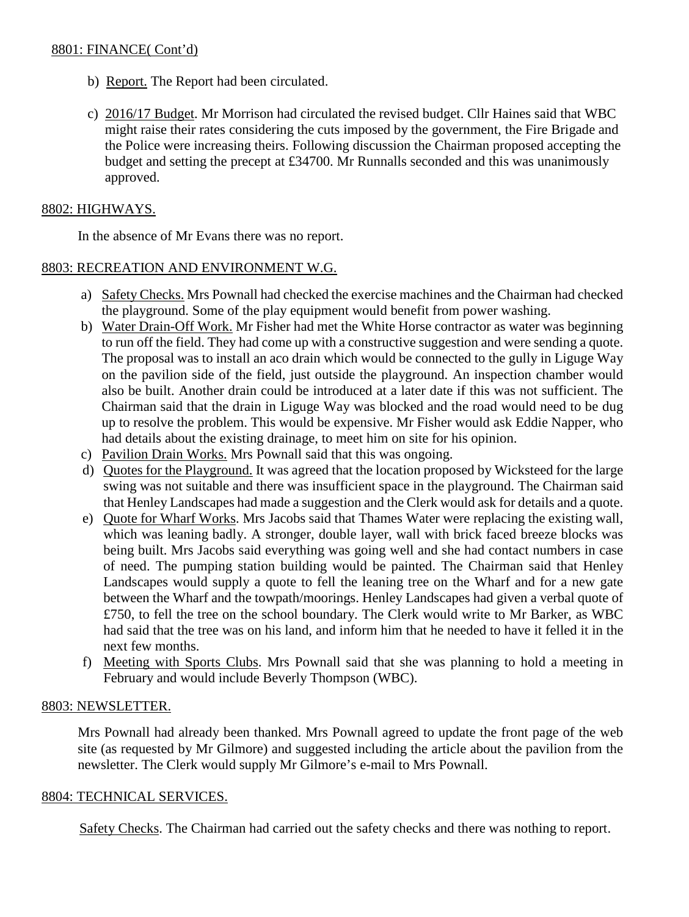## 8801: FINANCE( Cont'd)

- b) Report. The Report had been circulated.
- c) 2016/17 Budget. Mr Morrison had circulated the revised budget. Cllr Haines said that WBC might raise their rates considering the cuts imposed by the government, the Fire Brigade and the Police were increasing theirs. Following discussion the Chairman proposed accepting the budget and setting the precept at £34700. Mr Runnalls seconded and this was unanimously approved.

# 8802: HIGHWAYS.

In the absence of Mr Evans there was no report.

# 8803: RECREATION AND ENVIRONMENT W.G.

- a) Safety Checks. Mrs Pownall had checked the exercise machines and the Chairman had checked the playground. Some of the play equipment would benefit from power washing.
- b) Water Drain-Off Work. Mr Fisher had met the White Horse contractor as water was beginning to run off the field. They had come up with a constructive suggestion and were sending a quote. The proposal was to install an aco drain which would be connected to the gully in Liguge Way on the pavilion side of the field, just outside the playground. An inspection chamber would also be built. Another drain could be introduced at a later date if this was not sufficient. The Chairman said that the drain in Liguge Way was blocked and the road would need to be dug up to resolve the problem. This would be expensive. Mr Fisher would ask Eddie Napper, who had details about the existing drainage, to meet him on site for his opinion.
- c) Pavilion Drain Works. Mrs Pownall said that this was ongoing.
- d) Quotes for the Playground. It was agreed that the location proposed by Wicksteed for the large swing was not suitable and there was insufficient space in the playground. The Chairman said that Henley Landscapes had made a suggestion and the Clerk would ask for details and a quote.
- e) Quote for Wharf Works. Mrs Jacobs said that Thames Water were replacing the existing wall, which was leaning badly. A stronger, double layer, wall with brick faced breeze blocks was being built. Mrs Jacobs said everything was going well and she had contact numbers in case of need. The pumping station building would be painted. The Chairman said that Henley Landscapes would supply a quote to fell the leaning tree on the Wharf and for a new gate between the Wharf and the towpath/moorings. Henley Landscapes had given a verbal quote of £750, to fell the tree on the school boundary. The Clerk would write to Mr Barker, as WBC had said that the tree was on his land, and inform him that he needed to have it felled it in the next few months.
- f) Meeting with Sports Clubs. Mrs Pownall said that she was planning to hold a meeting in February and would include Beverly Thompson (WBC).

# 8803: NEWSLETTER.

Mrs Pownall had already been thanked. Mrs Pownall agreed to update the front page of the web site (as requested by Mr Gilmore) and suggested including the article about the pavilion from the newsletter. The Clerk would supply Mr Gilmore's e-mail to Mrs Pownall.

# 8804: TECHNICAL SERVICES.

Safety Checks. The Chairman had carried out the safety checks and there was nothing to report.